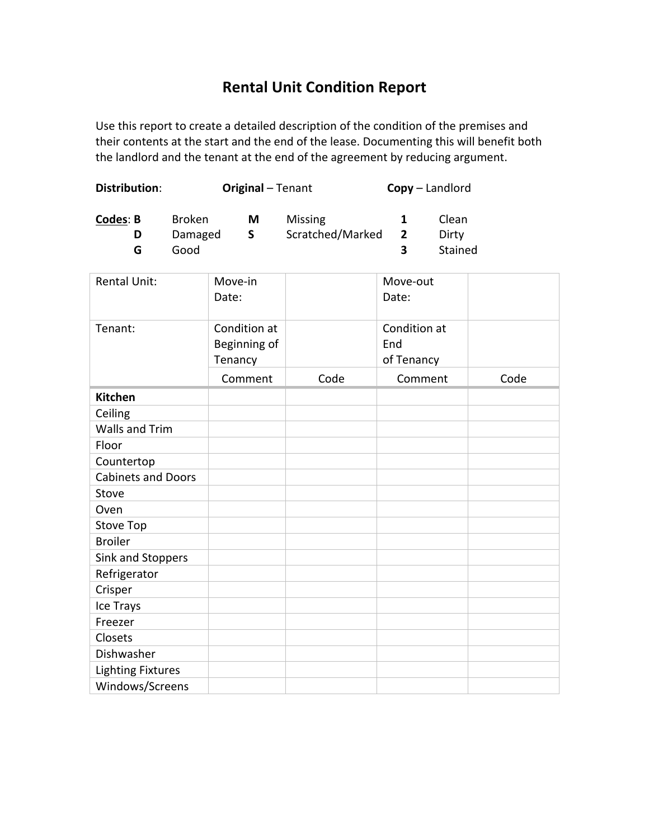## **Rental Unit Condition Report**

Use this report to create a detailed description of the condition of the premises and their contents at the start and the end of the lease. Documenting this will benefit both the landlord and the tenant at the end of the agreement by reducing argument.

| <b>Distribution:</b>      |                                  | <b>Original - Tenant</b>                |                   |                             |  | Copy - Landlord                   |                           |      |
|---------------------------|----------------------------------|-----------------------------------------|-------------------|-----------------------------|--|-----------------------------------|---------------------------|------|
| <b>Codes: B</b><br>D<br>G | <b>Broken</b><br>Damaged<br>Good |                                         | M<br>$\mathsf{S}$ | Missing<br>Scratched/Marked |  | 1<br>$\overline{2}$<br>3          | Clean<br>Dirty<br>Stained |      |
| <b>Rental Unit:</b>       |                                  | Move-in<br>Date:                        |                   |                             |  | Move-out<br>Date:                 |                           |      |
| Tenant:                   |                                  | Condition at<br>Beginning of<br>Tenancy |                   |                             |  | Condition at<br>End<br>of Tenancy |                           |      |
|                           |                                  | Comment                                 |                   | Code                        |  | Comment                           |                           | Code |
| <b>Kitchen</b>            |                                  |                                         |                   |                             |  |                                   |                           |      |
| Ceiling                   |                                  |                                         |                   |                             |  |                                   |                           |      |
| <b>Walls and Trim</b>     |                                  |                                         |                   |                             |  |                                   |                           |      |
| Floor                     |                                  |                                         |                   |                             |  |                                   |                           |      |
| Countertop                |                                  |                                         |                   |                             |  |                                   |                           |      |
| <b>Cabinets and Doors</b> |                                  |                                         |                   |                             |  |                                   |                           |      |
| Stove                     |                                  |                                         |                   |                             |  |                                   |                           |      |
| Oven                      |                                  |                                         |                   |                             |  |                                   |                           |      |
| <b>Stove Top</b>          |                                  |                                         |                   |                             |  |                                   |                           |      |
| <b>Broiler</b>            |                                  |                                         |                   |                             |  |                                   |                           |      |
| Sink and Stoppers         |                                  |                                         |                   |                             |  |                                   |                           |      |
| Refrigerator              |                                  |                                         |                   |                             |  |                                   |                           |      |
| Crisper                   |                                  |                                         |                   |                             |  |                                   |                           |      |
| Ice Trays                 |                                  |                                         |                   |                             |  |                                   |                           |      |
| Freezer                   |                                  |                                         |                   |                             |  |                                   |                           |      |
| Closets                   |                                  |                                         |                   |                             |  |                                   |                           |      |
| Dishwasher                |                                  |                                         |                   |                             |  |                                   |                           |      |
| <b>Lighting Fixtures</b>  |                                  |                                         |                   |                             |  |                                   |                           |      |
| Windows/Screens           |                                  |                                         |                   |                             |  |                                   |                           |      |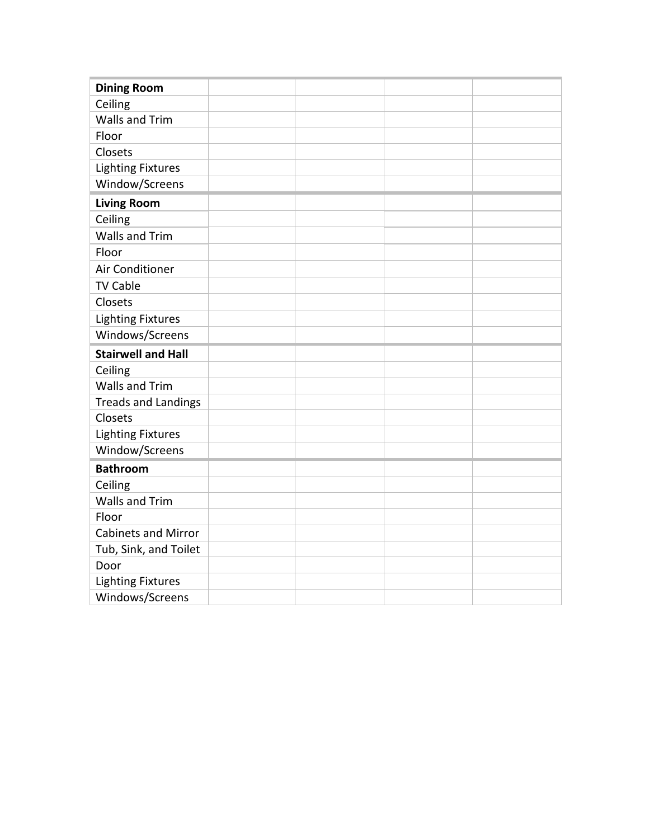| <b>Dining Room</b>         |  |  |
|----------------------------|--|--|
| Ceiling                    |  |  |
| <b>Walls and Trim</b>      |  |  |
| Floor                      |  |  |
| Closets                    |  |  |
| <b>Lighting Fixtures</b>   |  |  |
| Window/Screens             |  |  |
| <b>Living Room</b>         |  |  |
| Ceiling                    |  |  |
| <b>Walls and Trim</b>      |  |  |
| Floor                      |  |  |
| Air Conditioner            |  |  |
| <b>TV Cable</b>            |  |  |
| Closets                    |  |  |
| <b>Lighting Fixtures</b>   |  |  |
| Windows/Screens            |  |  |
| <b>Stairwell and Hall</b>  |  |  |
| Ceiling                    |  |  |
| <b>Walls and Trim</b>      |  |  |
| <b>Treads and Landings</b> |  |  |
| Closets                    |  |  |
| <b>Lighting Fixtures</b>   |  |  |
| Window/Screens             |  |  |
| <b>Bathroom</b>            |  |  |
| Ceiling                    |  |  |
| <b>Walls and Trim</b>      |  |  |
| Floor                      |  |  |
| <b>Cabinets and Mirror</b> |  |  |
| Tub, Sink, and Toilet      |  |  |
| Door                       |  |  |
| <b>Lighting Fixtures</b>   |  |  |
| Windows/Screens            |  |  |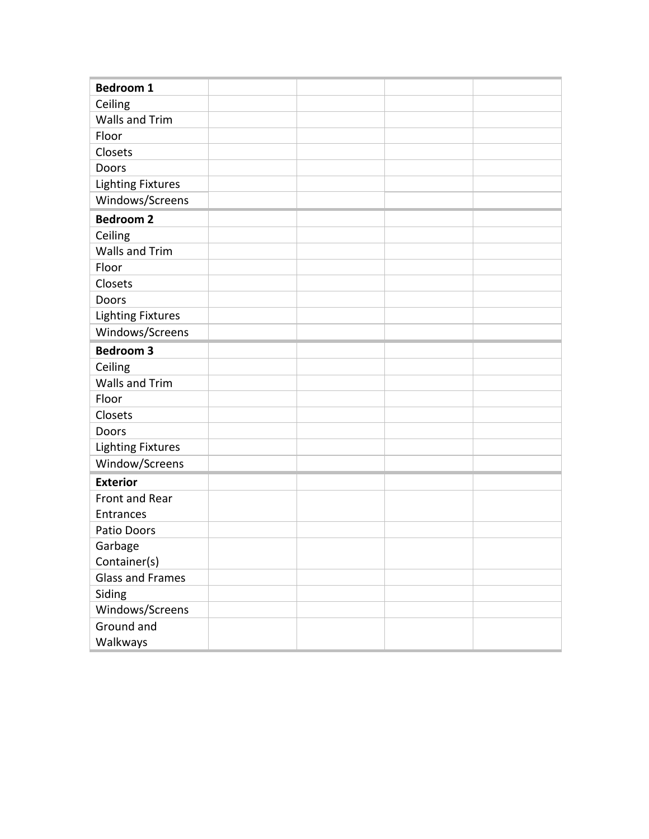| <b>Bedroom 1</b>         |  |  |
|--------------------------|--|--|
| Ceiling                  |  |  |
| <b>Walls and Trim</b>    |  |  |
| Floor                    |  |  |
| Closets                  |  |  |
| Doors                    |  |  |
| <b>Lighting Fixtures</b> |  |  |
| Windows/Screens          |  |  |
| <b>Bedroom 2</b>         |  |  |
| Ceiling                  |  |  |
| <b>Walls and Trim</b>    |  |  |
| Floor                    |  |  |
| Closets                  |  |  |
| Doors                    |  |  |
| <b>Lighting Fixtures</b> |  |  |
| Windows/Screens          |  |  |
| <b>Bedroom 3</b>         |  |  |
| Ceiling                  |  |  |
| <b>Walls and Trim</b>    |  |  |
| Floor                    |  |  |
| Closets                  |  |  |
| Doors                    |  |  |
| <b>Lighting Fixtures</b> |  |  |
| Window/Screens           |  |  |
| <b>Exterior</b>          |  |  |
| Front and Rear           |  |  |
| Entrances                |  |  |
| Patio Doors              |  |  |
| Garbage                  |  |  |
| Container(s)             |  |  |
| <b>Glass and Frames</b>  |  |  |
| Siding                   |  |  |
| Windows/Screens          |  |  |
| Ground and               |  |  |
| Walkways                 |  |  |